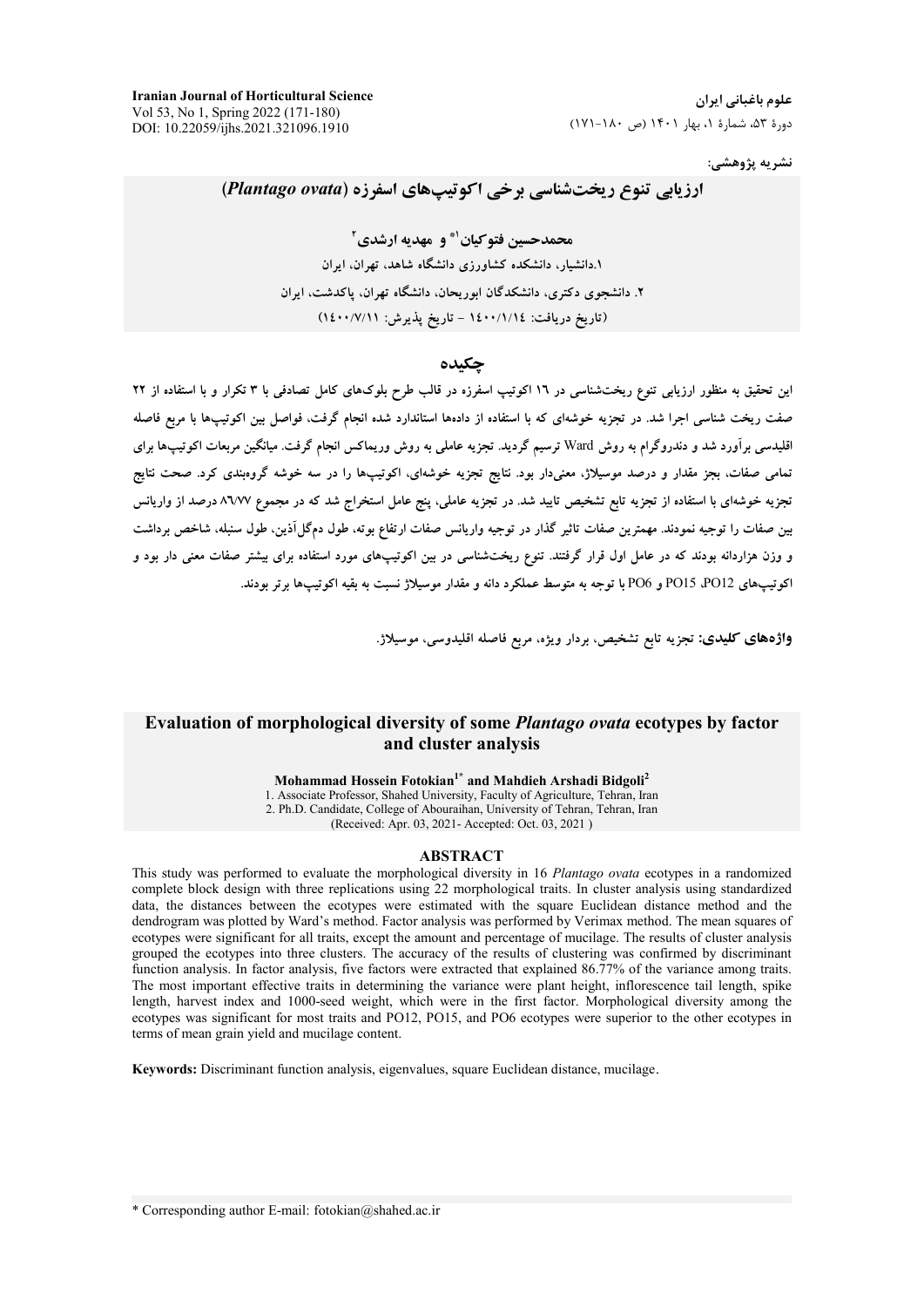**Iranian Journal of Horticultural Science** Vol 53, No 1, Spring 2022 (171-180) DOI: 10.22059/ijhs.2021.321096.1910

نشريه پژوهشي:

# ارزیابی تنوع ریختشناسی برخی اکوتیپهای اسفرزه (Plantago ovata)

محمدحسین فتوکیان" و مهدیه ارشدی آ ۱.دانشیار، دانشکده کشاورزی دانشگاه شاهد، تهران، ایران ۲. دانشجوی دکتری، دانشکدگان ابوریحان، دانشگاه تهران، پاکدشت، ایران (تاريخ دريافت: ١٤٠٠/١/١٤ - تاريخ يذيرش: ١٤٠٠/٧/١١)

### حكىدە

این تحقیق به منظور ارزیابی تنوع ریختشناسی در ۱۲ اکوتیپ اسفرزه در قالب طرح بلوکهای کامل تصادفی با ۳ تکرار و با استفاده از ۲۲ صفت ریخت شناسی اجرا شد. در تجزیه خوشهای که با استفاده از دادهها استاندارد شده انجام گرفت، فواصل بین اکوتیپها با مربع فاصله اقلیدسی برآورد شد و دندروگرام به روش Ward ترسیم گردید. تجزیه عاملی به روش وریماکس انجام گرفت. میانگین مربعات اکوتیپها برای .<br>تمامی صفات، بجز مقدار و درصد موسیلاژ، معنیدار بود. نتایج تجزیه خوشهای، اکوتیپها را در سه خوشه گروهبندی کرد. صحت نتایج تجزیه خوشهای با استفاده از تجزیه تابع تشخیص تایید شد. در تجزیه عاملی، پنج عامل استخراج شد که در مجموع ۸٦/۷۷ درصد از واریانس بین صفات را توجیه نمودند. مهمترین صفات تاثیر گذار در توجیه واریانس صفات ارتفاع بوته، طول دمگل1ذین، طول سنبله، شاخص برداشت و وزن هزاردانه بودند که در عامل اول قرار گرفتند. تنوع ریختشناسی در بین اکوتیپهای مورد استفاده برای بیشتر صفات معنی دار بود و اکوتیپهای PO12، PO15 و PO6 با توجه به متوسط عملکرد دانه و مقدار موسیلاژ نسبت به بقیه اکوتیپها برتر بودند.

واژدهای کلیدی: تجزیه تابع تشخیص، بردار ویژه، مربع فاصله اقلیدوسی، موسیلاژ.

## Evaluation of morphological diversity of some *Plantago ovata* ecotypes by factor and cluster analysis

Mohammad Hossein Fotokian<sup>1\*</sup> and Mahdieh Arshadi Bidgoli<sup>2</sup>

1. Associate Professor, Shahed University, Faculty of Agriculture, Tehran, Iran 2. Ph.D. Candidate, College of Abouraihan, University of Tehran, Tehran, Iran (Received: Apr. 03, 2021- Accepted: Oct. 03, 2021)

#### **ABSTRACT**

This study was performed to evaluate the morphological diversity in 16 Plantago ovata ecotypes in a randomized complete block design with three replications using 22 morphological traits. In cluster analysis using standardized data, the distances between the ecotypes were estimated with the square Euclidean distance method and the dendrogram was plotted by Ward's method. Factor analysis was performed by Verimax method. The mean squares of ecotypes were significant for all traits, except the amount and percentage of mucilage. The results of cluster analysis grouped the ecotypes into three clusters. The accuracy of the results of clustering was confirmed by discriminant function analysis. In factor analysis, five factors were extracted that explained 86.77% of the variance among traits. The most important effective traits in determining the variance were plant height, inflorescence tail length, spike length, harvest index and 1000-seed weight, which were in the first factor. Morphological diversity among the ecotypes was significant for most traits and PO12, PO15, and PO6 ecotypes were superior to the other ecotypes in terms of mean grain yield and mucilage content.

Keywords: Discriminant function analysis, eigenvalues, square Euclidean distance, mucilage.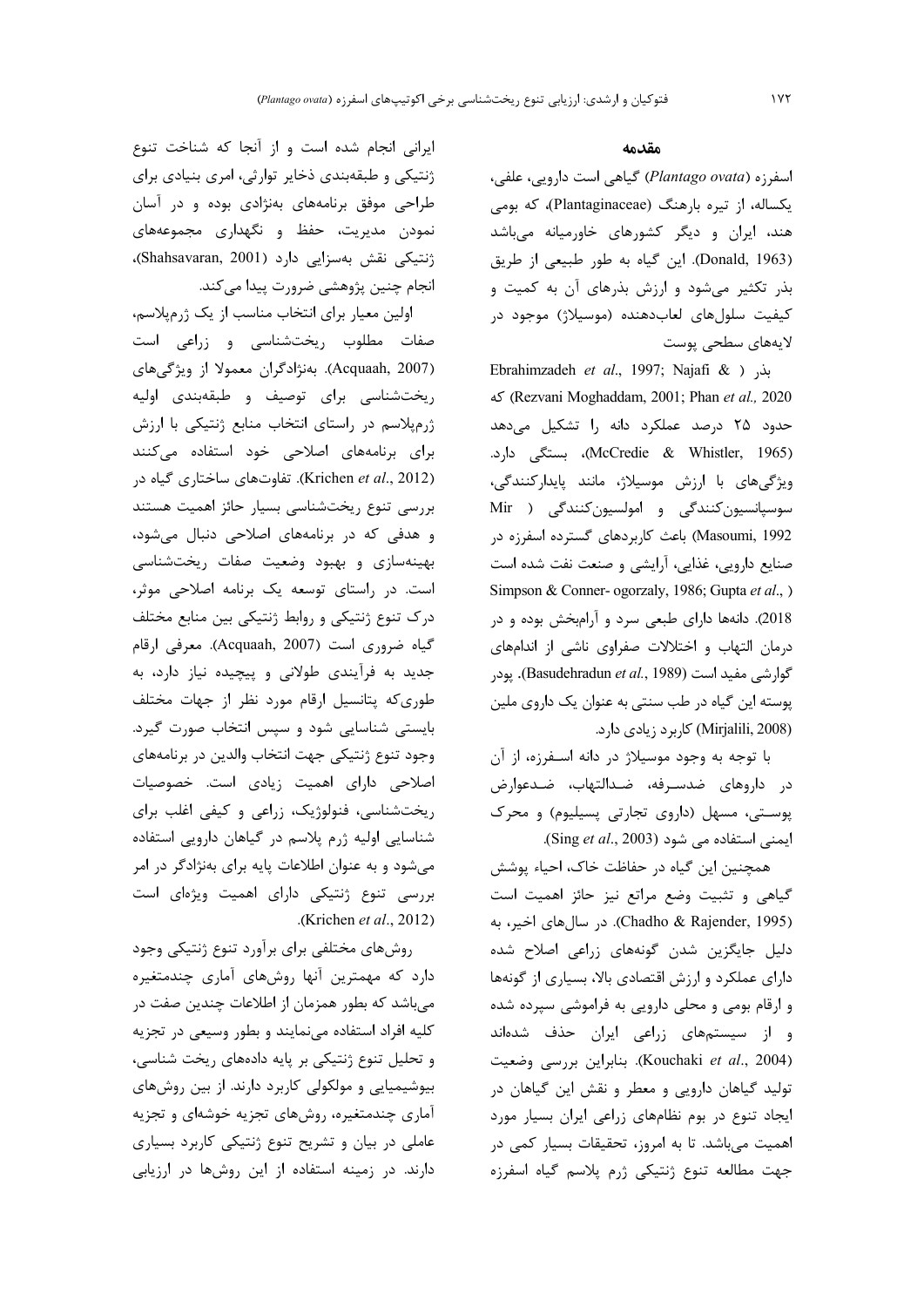#### مقدمه

اسفرزه (Plantago ovata) گیاهی است دارویی، علفی، یکساله، از تیره بارهنگ (Plantaginaceae)، که بومی هند، ایران و دیگر کشورهای خاورمیانه میباشد (Donald, 1963). این گیاه به طور طبیعی از طریق بذر تکثیر میشود و ارزش بذرهای آن به کمیت و کیفیت سلولهای لعابدهنده (موسیلاژ) موجود در لايەھاي سطحى پوست

Ebrahimzadeh et al., 1997; Najafi & ) بذر 2020 (Rezvani Moghaddam, 2001; Phan et al., 2020 حدود ۲۵ درصد عملکرد دانه را تشکیل میدهد (McCredie & Whistler, 1965)، بستگی دارد. ویژگیهای با ارزش موسیلاژ، مانند پایدارکنندگی، سوسپانسيون كنندگي و امولسيون كنندگي ( Mir Masoumi, 1992) باعث كاربردهاي گسترده اسفرزه در صنایع دارویی، غذایی، آرایشی و صنعت نفت شده است Simpson & Conner- ogorzaly, 1986; Gupta et al., ) 2018). دانهها دارای طبعی سرد و آرامبخش بوده و در درمان التهاب و اختلالات صفراوی ناشی از اندامهای گوارشی مفید است (Basudehradun et al., 1989). یودر پوسته این گیاه در طب سنتی به عنوان یک داروی ملین (Mirjalili, 2008) كاربرد زيادى دارد.

با توجه به وجود موسیلاژ در دانه اسـفرزه، از آن در داروهای ضدسـرفه، ضـدالتهاب، ضـدعوارض پوستی، مسهل (داروی تجارتی پسیلیوم) و محرک ایمنی استفاده می شود (Sing et al., 2003).

همچنین این گیاه در حفاظت خاک، احیاء پوشش گیاهی و تثبیت وضع مراتع نیز حائز اهمیت است (Chadho & Rajender, 1995). در سالهای اخیر، به دلیل جایگزین شدن گونههای زراعی اصلاح شده دارای عملکرد و ارزش اقتصادی بالا، بسیاری از گونهها و ارقام بومی و محلی دارویی به فراموشی سپرده شده و از سیستمهای زراعی ایران حذف شدهاند (Kouchaki et al., 2004). بنابراين بررسي وضعيت تولید گیاهان دارویی و معطر و نقش این گیاهان در ایجاد تنوع در بوم نظامهای زراعی ایران بسیار مورد اهمیت میباشد. تا به امروز، تحقیقات بسیار کمی در جهت مطالعه تنوع ژنتيكى ژرم پلاسم گياه اسفرزه

ایرانی انجام شده است و از آنجا که شناخت تنوع ژنتیکی و طبقهبندی ذخایر توارثی، امری بنیادی برای طراحی موفق برنامههای بهنژادی بوده و در آسان نمودن مدیریت، حفظ و نگهداری مجموعههای ژنتیکی نقش بهسزایی دارد (Shahsavaran, 2001)، انجام چنین پژوهشی ضرورت پیدا میکند.

اولین معیار برای انتخاب مناسب از یک ژرمپلاسم، صفات مطلوب ریختشناسی و زراعی است (Acquaah, 2007). بەنژادگران معمولا از ویژگی های ریختشناسی برای توصیف و طبقهبندی اولیه ژرمپلاسم در راستای انتخاب منابع ژنتیکی با ارزش برای برنامههای اصلاحی خود استفاده میکنند (Krichen et al., 2012). تفاوتهای ساختاری گیاه در بررسی تنوع ریختشناسی بسیار حائز اهمیت هستند و هدفی که در برنامههای اصلاحی دنبال می شود، بهینهسازی و بهبود وضعیت صفات ریختشناسی است. در راستای توسعه یک برنامه اصلاحی موثر، درک تنوع ژنتیکی و روابط ژنتیکی بین منابع مختلف گیاه ضروری است (Acquaah, 2007). معرفی ارقام جدید به فرآیندی طولانی و پیچیده نیاز دارد، به طوری که پتانسیل ارقام مورد نظر از جهات مختلف بایستی شناسایی شود و سپس انتخاب صورت گیرد. وجود تنوع ژنتيكي جهت انتخاب والدين در برنامههاي اصلاحی دارای اهمیت زیادی است. خصوصیات ریختشناسی، فنولوژیک، زراعی و کیفی اغلب برای شناسایی اولیه ژرم پلاسم در گیاهان دارویی استفاده می شود و به عنوان اطلاعات پایه برای بهنژادگر در امر بررسی تنوع ژنتیکی دارای اهمیت ویژهای است .(Krichen et al., 2012)

روشهای مختلفی برای برآورد تنوع ژنتیکی وجود دارد که مهمترین آنها روشهای آماری چندمتغیره میباشد که بطور همزمان از اطلاعات چندین صفت در كليه افراد استفاده مى نمايند و بطور وسيعى در تجزيه و تحلیل تنوع ژنتیکی بر پایه دادههای ریخت شناسی، بیوشیمیایی و مولکولی کاربرد دارند. از بین روشهای آماری چندمتغیره، روشهای تجزیه خوشهای و تجزیه عاملی در بیان و تشریح تنوع ژنتیکی کاربرد بسیاری دارند. در زمینه استفاده از این روشها در ارزیابی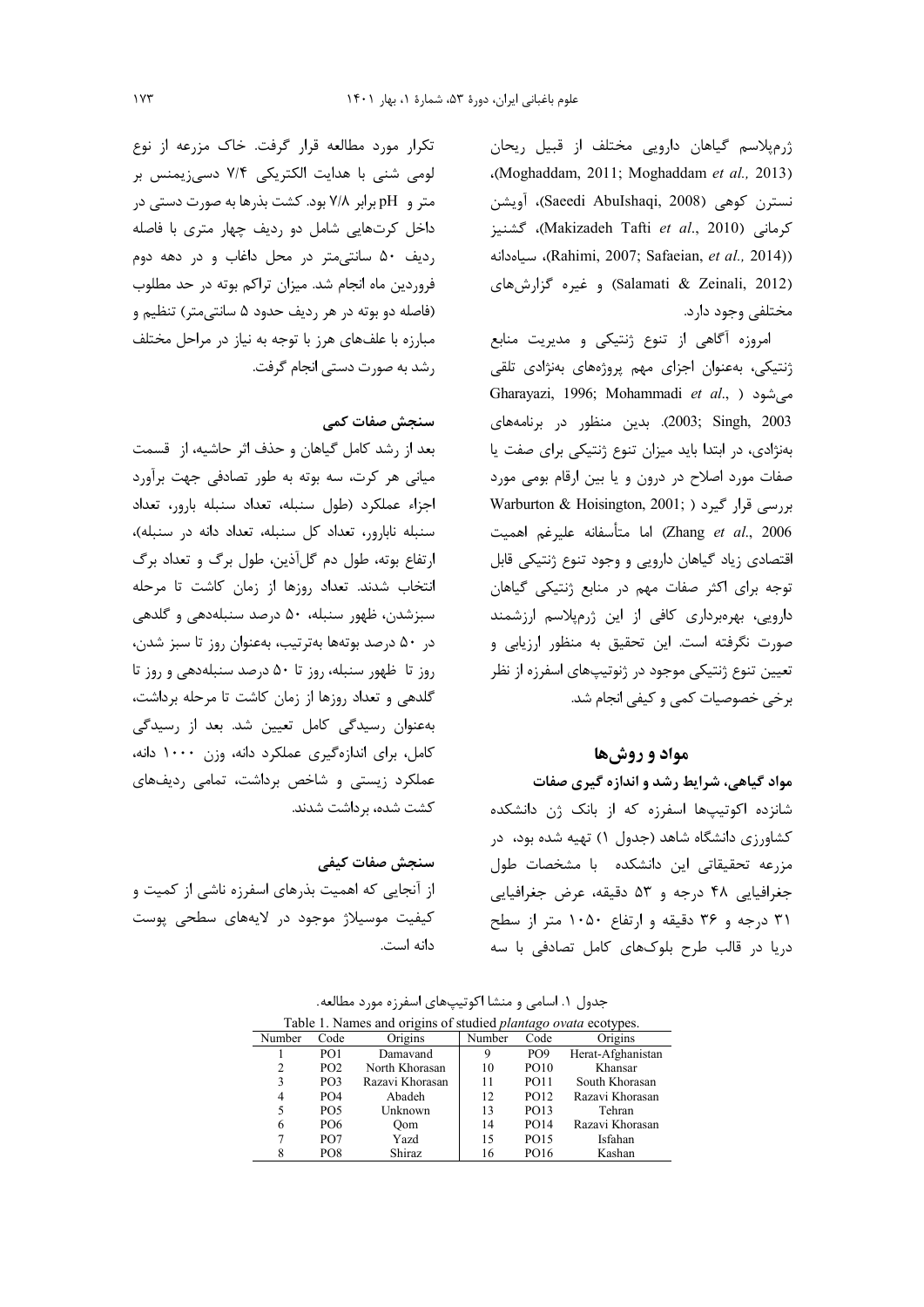ژرمپلاسم گیاهان دارویی مختلف از قبیل ریحان (Moghaddam, 2011; Moghaddam et al., 2013) نسترن كوهي (Saeedi AbuIshaqi, 2008)، آويشن كرمانى (Makizadeh Tafti et al., 2010)، گشنيز (Rahimi, 2007; Safaeian, et al., 2014)، سياهدانه (Salamati & Zeinali, 2012) و غيره گزارش هاي مختلفي وجود دارد.

امروزه آگاهی از تنوع ژنتیکی و مدیریت منابع ژنتیکی، بهعنوان اجزای مهم پروژههای بهنژادی تلقی Gharayazi, 1996; Mohammadi et al., شود (, al., ) 2003; Singh, 2003). بدين منظور در برنامههاي بهنژادی، در ابتدا باید میزان تنوع ژنتیکی برای صفت یا صفات مورد اصلاح در درون و یا بین ارقام بومی مورد Warburton & Hoisington, 2001; ) بررسی قرار گیرد Zhang et al., 2006) اما متأسفانه عليرغم اهميت اقتصادی زیاد گیاهان دارویی و وجود تنوع ژنتیکی قابل توجه برای اکثر صفات مهم در منابع ژنتیکی گیاهان دارویی، بهرهبرداری کافی از این ژرمپلاسم ارزشمند صورت نگرفته است. این تحقیق به منظور ارزیابی و تعیین تنوع ژنتیکی موجود در ژنوتیپهای اسفرزه از نظر برخی خصوصیات کمی و کیفی انجام شد.

### مواد و روشها

مواد گیاهی، شرایط رشد و اندازه گیری صفات شانزده اکوتیپها اسفرزه که از بانک ژن دانشکده کشاورزی دانشگاه شاهد (جدول ۱) تهیه شده بود، در مزرعه تحقیقاتی این دانشکده با مشخصات طول جغرافيايي ۴۸ درجه و ۵۳ دقيقه، عرض جغرافيايي ۳۱ درجه و ۳۶ دقیقه و ارتفاع ۱۰۵۰ متر از سطح دریا در قالب طرح بلوکهای کامل تصادفی با سه

جدول ۱. اسامی و منشا اکوتیپهای اسفرزه مورد مطالعه.

| Table 1. Names and origins of studied <i>plantago ovata</i> ecotypes. |                 |                 |        |                 |                   |  |  |
|-----------------------------------------------------------------------|-----------------|-----------------|--------|-----------------|-------------------|--|--|
| Number                                                                | Code            | Origins         | Number | Code            | Origins           |  |  |
|                                                                       | PO <sub>1</sub> | Damavand        | 9      | PO <sub>9</sub> | Herat-Afghanistan |  |  |
| 2                                                                     | PO <sub>2</sub> | North Khorasan  | 10     | <b>PO10</b>     | Khansar           |  |  |
| 3                                                                     | PO <sub>3</sub> | Razavi Khorasan | 11     | <b>PO11</b>     | South Khorasan    |  |  |
| 4                                                                     | PO <sub>4</sub> | Abadeh          | 12     | <b>PO12</b>     | Razavi Khorasan   |  |  |
| 5                                                                     | PO <sub>5</sub> | Unknown         | 13     | <b>PO13</b>     | Tehran            |  |  |
| 6                                                                     | <b>PO6</b>      | Oom             | 14     | <b>PO14</b>     | Razavi Khorasan   |  |  |
|                                                                       | PO <sub>7</sub> | Yazd            | 15     | PO15            | Isfahan           |  |  |
|                                                                       | PO8             | Shiraz          | 16     | PO16            | Kashan            |  |  |

تکرار مورد مطالعه قرار گرفت. خاک مزرعه از نوع لومی شنی با هدایت الکتریکی ۷/۴ دسیزیمنس بر متر و pH برابر ۷/۸ بود. کشت بذرها به صورت دستی در داخل کرتهایی شامل دو ردیف چهار متری با فاصله رديف ۵۰ سانتى متر در محل داغاب و در دهه دوم فروردین ماه انجام شد. میزان تراکم بوته در حد مطلوب (فاصله دو بوته در هر رديف حدود ۵ سانتي متر) تنظيم و مبارزه با علفهای هرز با توجه به نیاز در مراحل مختلف رشد به صورت دستی انجام گرفت.

### سنجش صفات كمى

بعد از رشد کامل گیاهان و حذف اثر حاشیه، از قسمت میانی هر کرت، سه بوته به طور تصادفی جهت برآورد اجزاء عملكرد (طول سنبله، تعداد سنبله بارور، تعداد سنبله نابارور، تعداد كل سنبله، تعداد دانه در سنبله)، ارتفاع بوته، طول دم گلآذین، طول برگ و تعداد برگ انتخاب شدند. تعداد روزها از زمان کاشت تا مرحله سبزشدن، ظهور سنبله، ۵۰ درصد سنبلهدهی و گلدهی در ۵۰ درصد بوتهها بهترتیب، بهعنوان روز تا سبز شدن، روز تا ظهور سنبله، روز تا ۵۰ درصد سنبلهدهی و روز تا گلدهی و تعداد روزها از زمان کاشت تا مرحله برداشت، بەعنوان رسیدگی کامل تعیین شد. بعد از رسیدگی كامل، براي اندازهگيري عملكرد دانه، وزن ١٠٠٠ دانه، عملکرد زیستی و شاخص برداشت، تمامی ردیفهای کشت شده، برداشت شدند.

سنجش صفات كيفى از آنجایی که اهمیت بذرهای اسفرزه ناشی از کمیت و کیفیت موسیلاژ موجود در لایههای سطحی پوست دانه است.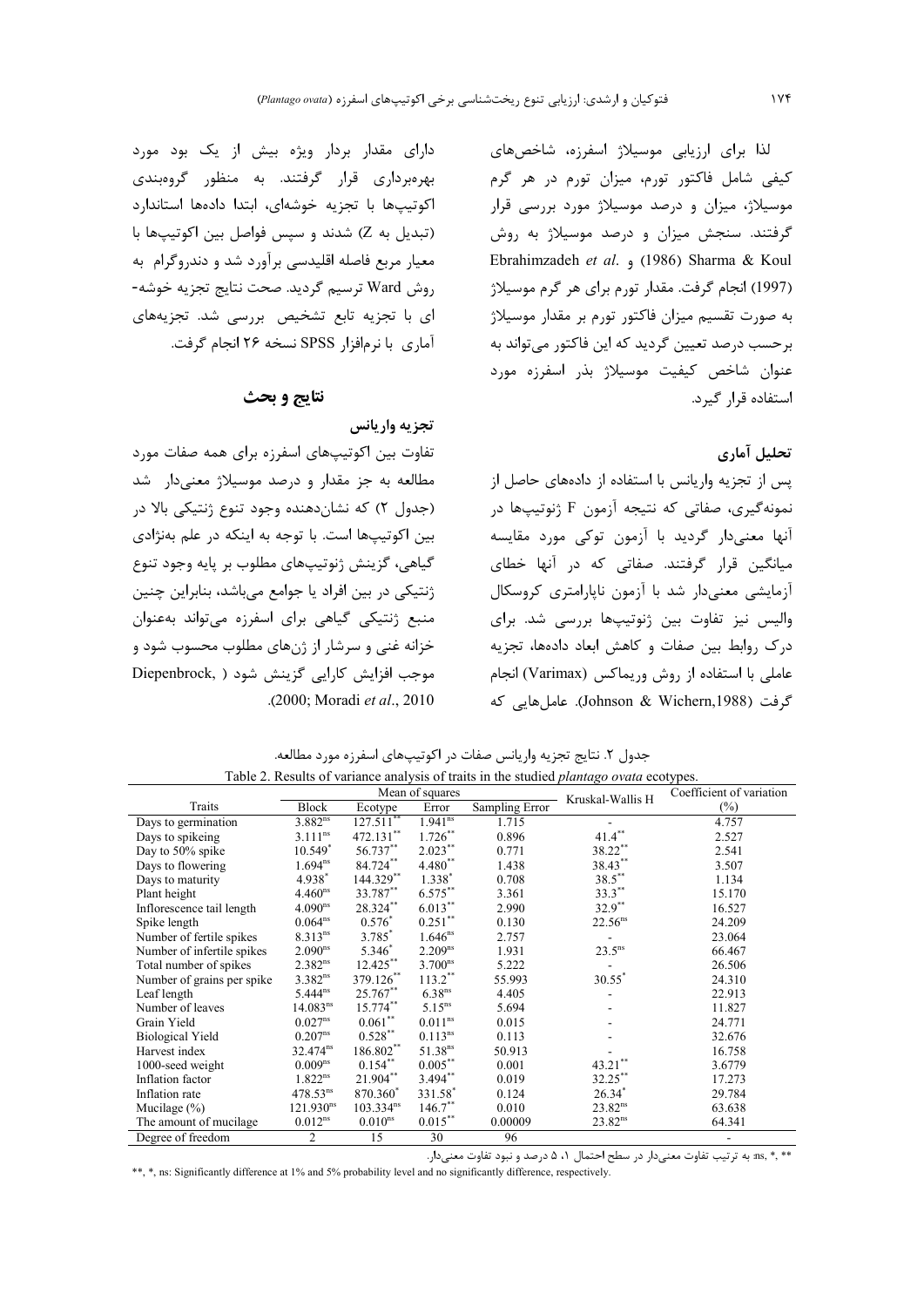نتايج و بحث

تفاوت بین اکوتیپهای اسفرزه برای همه صفات مورد مطالعه به جز مقدار و درصد موسیلاژ معنیدار شد

(جدول ۲) که نشان دهنده وجود تنوع ژنتیکی بالا در

بین اکوتیپها است. با توجه به اینکه در علم بهنژادی گیاهی، گزینش ژنوتیپهای مطلوب بر پایه وجود تنوع

ژنتیکی در بین افراد یا جوامع میباشد، بنابراین چنین

منبع ژنتیکی گیاهی برای اسفرزه میتواند بهعنوان

خزانه غنی و سرشار از ژنهای مطلوب محسوب شود و

Diepenbrock, ) موجب افزایش کارایی گزینش شود

.(2000: Moradi et al., 2010

تجزيه واريانس

دارای مقدار بردار ویژه بیش از یک بود مورد لذا برای ارزیابی موسیلاژ اسفرزه، شاخصهای بهرهبرداری قرار گرفتند. به منظور گروهبندی کیفی شامل فاکتور تورم، میزان تورم در هر گرم اکوتیپها با تجزیه خوشهای، ابتدا دادهها استاندارد موسیلاژ، میزان و درصد موسیلاژ مورد بررسی قرار (تبدیل به Z) شدند و سیس فواصل بین اکوتیپها با گرفتند. سنجش میزان و درصد موسیلاژ به روش معیار مربع فاصله اقلیدسی برآورد شد و دندروگرام به Ebrahimzadeh et al. , (1986) Sharma & Koul روش Ward ترسيم گرديد. صحت نتايج تجزيه خوشه-(1997) انجام گرفت. مقدار تورم برای هر گرم موسیلاژ ای با تجزیه تابع تشخیص بررسی شد. تجزیههای به صورت تقسیم میزان فاکتور تورم بر مقدار موسیلاژ آماري با نرمافزار SPSS نسخه ۲۶ انجام گرفت. برحسب درصد تعیین گردید که این فاکتور می تواند به عنوان شاخص كيفيت موسيلاژ بذر اسفرزه مورد استفاده قرار گیرد.

## تحليل آماري

پس از تجزیه واریانس با استفاده از دادههای حاصل از نمونه گیری، صفاتی که نتیجه آزمون F ژنوتیپها در أنها معنى،دار گرديد با آزمون توكي مورد مقايسه میانگین قرار گرفتند. صفاتی که در آنها خطای آزمایشی معنیدار شد با آزمون ناپارامتری کروسکال والیس نیز تفاوت بین ژنوتیپها بررسی شد. برای درک روابط بین صفات و کاهش ابعاد دادهها، تجزیه عاملی با استفاده از روش وریماکس (Varimax) انجام گرفت (Johnson & Wichern,1988). عامل هایی که

|                            | Mean of squares       |                       |                         |                | Kruskal-Wallis H     | Coefficient of variation |
|----------------------------|-----------------------|-----------------------|-------------------------|----------------|----------------------|--------------------------|
| Traits                     | Block                 | Ecotype               | Error                   | Sampling Error |                      | $(\%)$                   |
| Days to germination        | $3.882^{ns}$          | 127.511               | $1.94\overline{1^{ns}}$ | 1.715          |                      | 4.757                    |
| Days to spikeing           | $3.111^{ns}$          | 472.131**             | $1.726***$              | 0.896          | $41.4***$            | 2.527                    |
| Day to 50% spike           | $10.549*$             | 56.737**              | $2.023***$              | 0.771          | 38.22**              | 2.541                    |
| Days to flowering          | $1.694^{ns}$          | $84.724***$           | $4.480**$               | 1.438          | $38.43***$           | 3.507                    |
| Days to maturity           | 4.938*                | 144.329**             | $1.338*$                | 0.708          | $38.5***$            | 1.134                    |
| Plant height               | 4.460 <sup>ns</sup>   | 33.787**              | $6.575***$              | 3.361          | $33.3***$            | 15.170                   |
| Inflorescence tail length  | 4.090 <sup>ns</sup>   | 28.324**              | $6.013***$              | 2.990          | $32.9***$            | 16.527                   |
| Spike length               | $0.064^{ns}$          | $0.576*$              | $0.251***$              | 0.130          | 22.56 <sup>ns</sup>  | 24.209                   |
| Number of fertile spikes   | $8.313^{ns}$          | 3.785*                | $1.646^{ns}$            | 2.757          |                      | 23.064                   |
| Number of infertile spikes | $2.090^{ns}$          | 5.346                 | 2.209 <sup>ns</sup>     | 1.931          | $23.5^{ns}$          | 66.467                   |
| Total number of spikes     | $2.382^{ns}$          | $12.425***$           | 3.700 <sup>ns</sup>     | 5.222          |                      | 26.506                   |
| Number of grains per spike | $3.382^{ns}$          | 379.126               | $113.2$ **              | 55.993         | $30.55$ <sup>*</sup> | 24.310                   |
| Leaf length                | $5.444^{ns}$          | 25.767**              | 6.38 <sup>ns</sup>      | 4.405          |                      | 22.913                   |
| Number of leaves           | 14.083 <sup>ns</sup>  | 15.774**              | $5.15^{ns}$             | 5.694          |                      | 11.827                   |
| Grain Yield                | 0.027 <sup>ns</sup>   | $0.061***$            | $0.011$ <sup>ns</sup>   | 0.015          |                      | 24.771                   |
| <b>Biological Yield</b>    | $0.207^{ns}$          | $0.528***$            | $0.113^{ns}$            | 0.113          |                      | 32.676                   |
| Harvest index              | $32.474^{ns}$         | 186.802**             | 51.38 <sup>ns</sup>     | 50.913         |                      | 16.758                   |
| 1000-seed weight           | $0.009^{ns}$          | $0.154***$            | $0.005***$              | 0.001          | $43.21***$           | 3.6779                   |
| Inflation factor           | $1.822^{ns}$          | 21.904**              | $3.494***$              | 0.019          | 32.25**              | 17.273                   |
| Inflation rate             | $478.53^{ns}$         | 870.360*              | 331.58*                 | 0.124          | $26.34*$             | 29.784                   |
| Mucilage $(\% )$           | 121.930 <sup>ns</sup> | 103.334 <sup>ns</sup> | $146.7***$              | 0.010          | $23.82^{ns}$         | 63.638                   |
| The amount of mucilage     | $0.012$ <sup>ns</sup> | 0.010 <sup>ns</sup>   | $0.015***$              | 0.00009        | 23.82 <sup>ns</sup>  | 64.341                   |
| Degree of freedom          | 2                     | 15                    | 30                      | 96             |                      | ۰                        |

جدول ۲. نتایج تجزیه واریانس صفات در اکوتیپهای اسفرزه مورد مطالعه. Table 2. Results of variance analysis of traits in the studied *plantago ovata* ecotypes.

\*\* ,\* .ns. به ترتیب تفاوت معنیدار در سطح احتمال ۵، ۵ درصد و نبود تفاوت معنیدار.

\*\*, \*, ns: Significantly difference at 1% and 5% probability level and no significantly difference, respectively.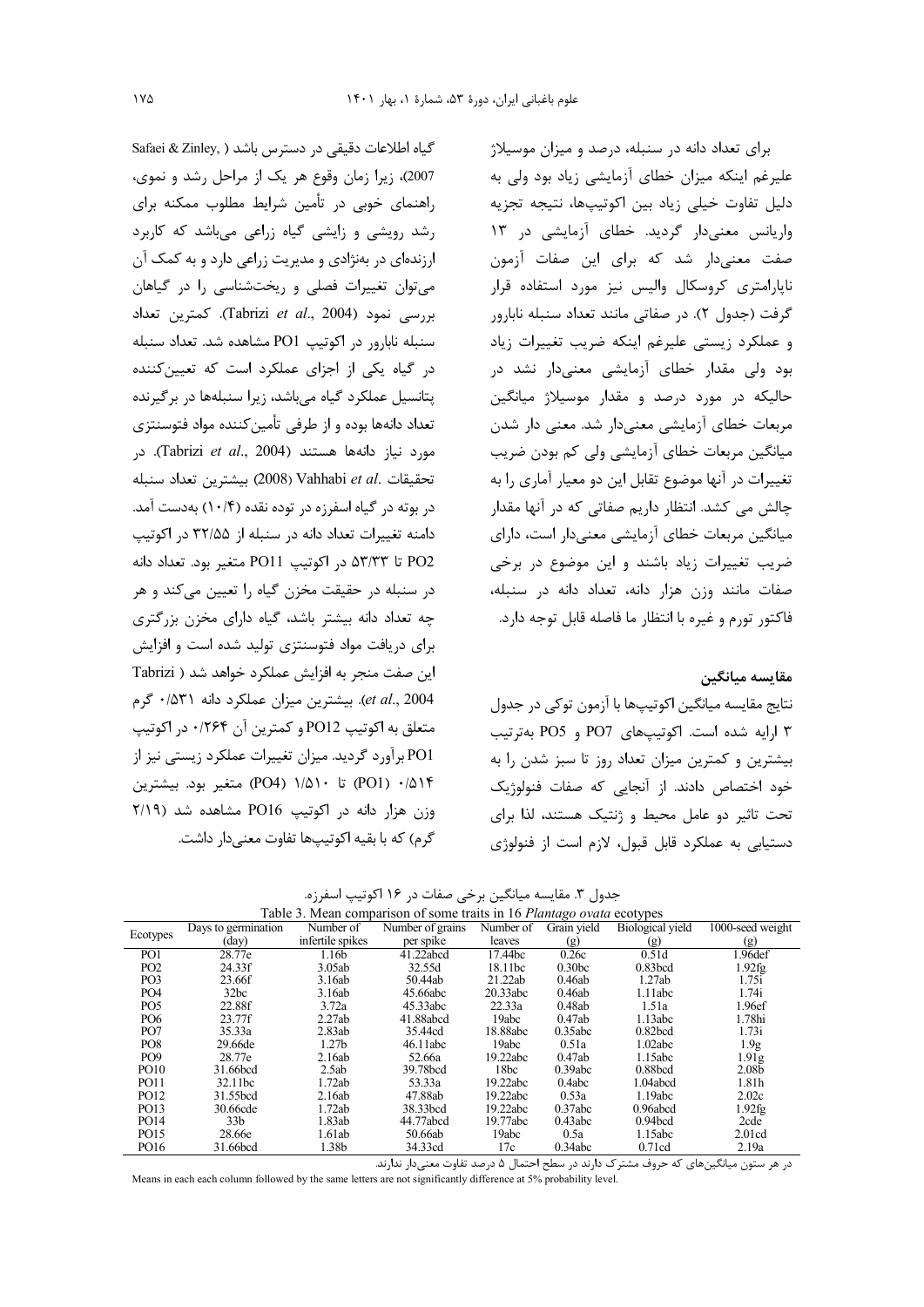Safaei & Zinley, ) كياه اطلاعات دقيقى در دسترس باشد 2007)، زیرا زمان وقوع هر یک از مراحل رشد و نموی، راهنمای خوبی در تأمین شرایط مطلوب ممکنه برای رشد رویشی و زایشی گیاه زراعی می باشد که کاربرد ارزندهای در بهنژادی و مدیریت زراعی دارد و به کمک آن می توان تغییرات فصلی و ریختشناسی را در گیاهان بررسی نمود (Tabrizi et al., 2004). کمترین تعداد سنبله نابارور در اكوتيب PO1 مشاهده شد. تعداد سنبله در گیاه یکی از اجزای عملکرد است که تعیین کننده یتانسیل عملکرد گیاه میباشد، زیرا سنبلهها در برگیرنده تعداد دانهها بوده و از طرفی تأمین کننده مواد فتوسنتزی مورد نياز دانهها هستند (Tabrizi et al., 2004). در تحقيقات .Vahhabi et al (2008) بيشترين تعداد سنبله در بوته در گیاه اسفرزه در توده نقده (۱۰/۴) بهدست آمد. دامنه تغییرات تعداد دانه در سنبله از ۳۲/۵۵ در اکوتیپ PO2 تا ۵۳/۳۳ در اکوتیپ PO11 متغیر بود. تعداد دانه در سنبله در حقیقت مخزن گیاه را تعیین می کند و هر چه تعداد دانه بیشتر باشد، گیاه دارای مخزن بزرگتری برای دریافت مواد فتوسنتزی تولید شده است و افزایش این صفت منجر به افزایش عملکرد خواهد شد ( Tabrizi et al., 2004). بيشترين ميزان عملكرد دانه ۰/۵۳۱ گرم متعلق به اکوتیپ PO12 و کمترین آن ۱۲۶۴۰ در اکوتیپ PO1 برآورد گردید. میزان تغییرات عملکرد زیستی نیز از PO1) • (PO4) تا ۱/۵۱۰ (PO4) متغیر بود. بیشترین وزن هزار دانه در اكوتيب PO16 مشاهده شد (٢/١٩ گرم) که با بقیه اکوتیپها تفاوت معنی دار داشت.

برای تعداد دانه در سنبله، درصد و میزان موسیلاژ علیرغم اینکه میزان خطای آزمایشی زیاد بود ولی به دلیل تفاوت خیلی زیاد بین اکوتیپها، نتیجه تجزیه واریانس معنی دار گردید. خطای آزمایشی در ۱۳ صفت معنىدار شد كه براى اين صفات آزمون نایارامتری کروسکال والیس نیز مورد استفاده قرار گرفت (جدول ٢). در صفاتي مانند تعداد سنبله نابارور و عملكرد زيستى عليرغم اينكه ضريب تغييرات زياد بود ولی مقدار خطای آزمایشی معنیدار نشد د<sub>ر</sub> حالیکه در مورد درصد و مقدار موسیلاژ میانگین مربعات خطای آزمایشی معنیدار شد. معنی دار شدن میانگین مربعات خطای آزمایشی ولی کم بودن ضریب تغییرات در آنها موضوع تقابل این دو معیار آماری را به چالش می کشد. انتظار داریم صفاتی که در آنها مقدار میانگین مربعات خطای آزمایشی معنیدار است، دارای ضریب تغییرات زیاد باشند و این موضوع در برخی صفات مانند وزن هزار دانه، تعداد دانه در سنبله، فاكتور تورم و غيره با انتظار ما فاصله قابل توجه دارد.

### مقايسه ميانگين

نتايج مقايسه ميانگين اکوتيپها با آزمون توکي در جدول ۳ ارایه شده است. اکوتیپهای PO7 و PO5 بهترتیب بیشترین و کمترین میزان تعداد روز تا سبز شدن را به خود اختصاص دادند. از آنجایی که صفات فنولوژیک تحت تاثیر دو عامل محیط و ژنتیک هستند، لذا برای دستيابي به عملكرد قابل قبول، لازم است از فنولوژي

جدول ٣. مقايسه ميانگين برخي صفات در ١۶ اكوتيپ اسفرزه.

| Table 3. Mean comparison of some traits in 16 Plantago ovata ecotypes |                     |                   |                      |           |                    |                         |                   |  |
|-----------------------------------------------------------------------|---------------------|-------------------|----------------------|-----------|--------------------|-------------------------|-------------------|--|
| Ecotypes                                                              | Days to germination | Number of         | Number of grains     | Number of | Grain yield        | <b>Biological</b> yield | 1000-seed weight  |  |
|                                                                       | (day)               | infertile spikes  | per spike            | leaves    | (g)                | (g)                     | (g)               |  |
| PO <sub>1</sub>                                                       | 28.77e              | 1.16b             | 41.22abcd            | 17.44bc   | 0.26c              | 0.51d                   | 1.96def           |  |
| PO <sub>2</sub>                                                       | 24.33f              | 3.05ab            | 32.55d               | 18.11bc   | 0.30 <sub>bc</sub> | $0.83$ bcd              | $1.92$ fg         |  |
| PO <sub>3</sub>                                                       | 23.66f              | 3.16ab            | 50.44ab              | 21.22ab   | 0.46ab             | 1.27ab                  | 1.75i             |  |
| PO <sub>4</sub>                                                       | 32bc                | 3.16ab            | 45.66abc             | 20.33abc  | 0.46ab             | 1.11abc                 | 1.74i             |  |
| PO <sub>5</sub>                                                       | 22.88f              | 3.72a             | 45.33abc             | 22.33a    | 0.48ab             | 1.51a                   | 1.96ef            |  |
| PO <sub>6</sub>                                                       | 23.77f              | 2.27ab            | 41.88abcd            | 19abc     | 0.47ab             | 1.13abc                 | 1.78hi            |  |
| PO <sub>7</sub>                                                       | 35.33a              | 2.83ab            | 35.44cd              | 18.88abc  | 0.35abc            | 0.82 <sub>bcd</sub>     | 1.73i             |  |
| PO <sub>8</sub>                                                       | 29.66de             | 1.27 <sub>b</sub> | 46.11abc             | 19abc     | 0.51a              | 1.02abc                 | 1.9 <sub>g</sub>  |  |
| PO <sub>9</sub>                                                       | 28.77e              | 2.16ab            | 52.66a               | 19.22abc  | 0.47ab             | 1.15abc                 | 1.91 <sub>g</sub> |  |
| <b>PO10</b>                                                           | 31.66bcd            | 2.5ab             | 39.78 <sub>bcd</sub> | 18bc      | 0.39abc            | $0.88$ bcd              | 2.08 <sub>b</sub> |  |
| <b>PO11</b>                                                           | 32.11bc             | 1.72ab            | 53.33a               | 19.22abc  | 0.4abc             | 1.04abcd                | 1.81h             |  |
| PO12                                                                  | 31.55bcd            | 2.16ab            | 47.88ab              | 19.22abc  | 0.53a              | 1.19abc                 | 2.02c             |  |
| PO13                                                                  | 30.66cde            | 1.72ab            | 38.33bcd             | 19.22abc  | 0.37abc            | 0.96abcd                | 1.92fg            |  |
| PO14                                                                  | 33 <sub>b</sub>     | 1.83ab            | 44.77abcd            | 19.77abc  | 0.43abc            | 0.94 <sub>bcd</sub>     | 2cde              |  |
| PO15                                                                  | 28.66e              | 1.61ab            | 50.66ab              | 19abc     | 0.5a               | 1.15abc                 | 2.01cd            |  |
| PO16                                                                  | 31.66bcd            | 1.38b             | 34.33cd              | 17c       | 0.34abc            | 0.71cd                  | 2.19a             |  |

در هر ستون میانگینهای که حروف مشترک دارند در سطح احتمال ۵ درصد تفاوت معنیدار ندارند.

Means in each each column followed by the same letters are not significantly difference at 5% probability level.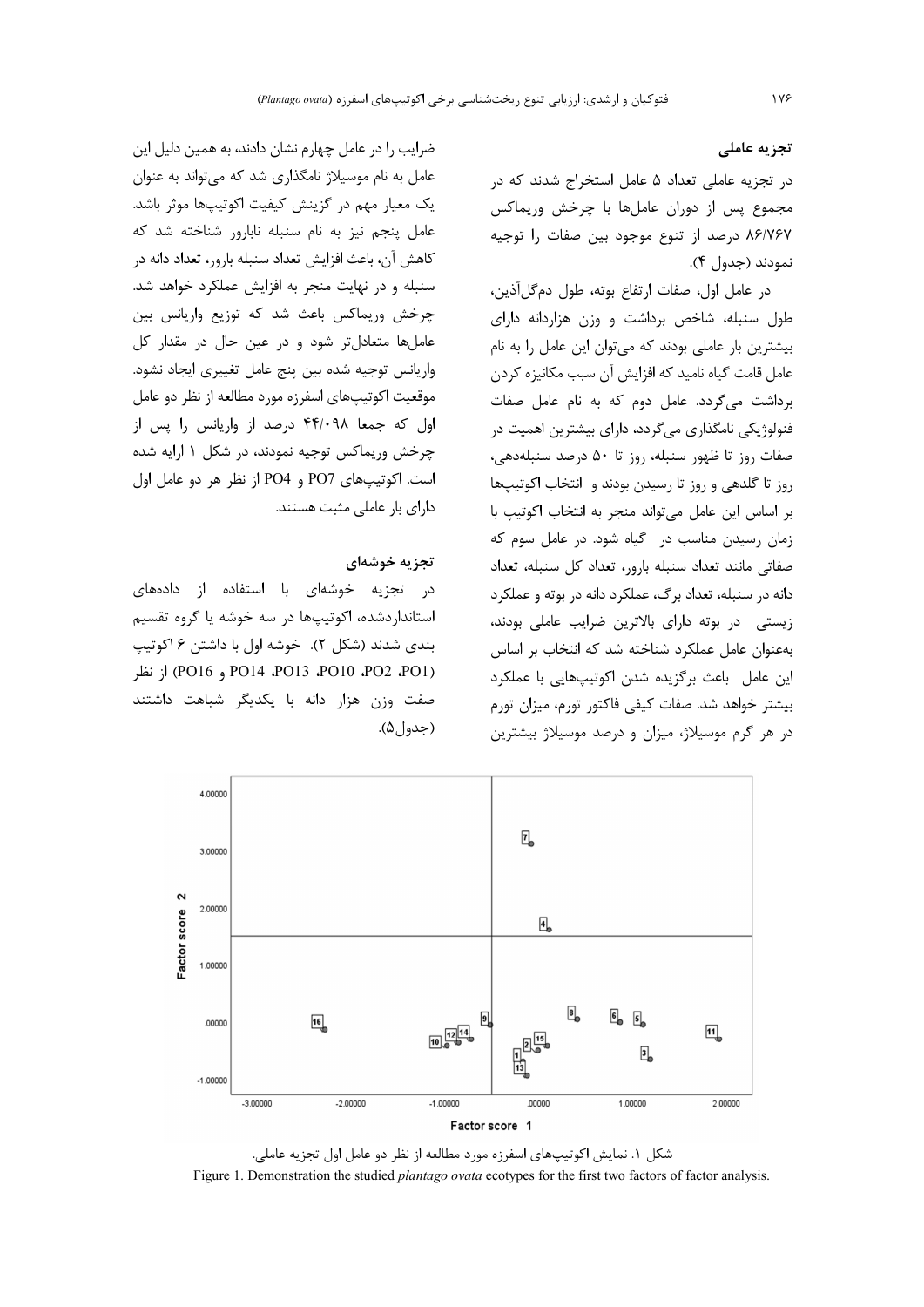### تجزيه عاملي

در تجزیه عاملی تعداد ۵ عامل استخراج شدند که در مجموع پس از دوران عاملها با چرخش وریماکس ٨۶/٧۶٧ درصد از تنوع موجود بين صفات را توجيه نمودند (جدول ۴).

در عامل اول، صفات ارتفاع بوته، طول دمگلآذین، طول سنبله، شاخص برداشت و وزن هزاردانه دارای بیشترین بار عاملی بودند که می توان این عامل را به نام عامل قامت گیاه نامید که افزایش آن سبب مکانیزه کردن برداشت می گردد. عامل دوم که به نام عامل صفات فنولوژیکی نامگذاری میگردد، دارای بیشترین اهمیت در صفات روز تا ظهور سنبله، روز تا ۵۰ درصد سنبلهدهی، روز تا گلدهی و روز تا رسیدن بودند و انتخاب اکوتیپها بر اساس این عامل می تواند منجر به انتخاب اکوتیپ با زمان رسیدن مناسب در گیاه شود. در عامل سوم که صفاتی مانند تعداد سنبله بارور، تعداد کل سنبله، تعداد دانه در سنبله، تعداد برگ، عملکرد دانه در بوته و عملکرد زیستی در بوته دارای بالاترین ضرایب عاملی بودند، بهعنوان عامل عملكرد شناخته شد كه انتخاب بر اساس این عامل باعث برگزیده شدن اکوتیپهایی با عملکرد بیشتر خواهد شد. صفات کیفی فاکتور تورم، میزان تورم در هر گرم موسیلاژ، میزان و درصد موسیلاژ بیشترین

ضرایب ,ا در عامل چهارم نشان دادند، به همین دلیل این عامل به نام موسیلاژ نامگذاری شد که میتواند به عنوان یک معیار مهم در گزینش کیفیت اکوتیپها موثر باشد. عامل پنجم نیز به نام سنبله نابارور شناخته شد که كاهش آن، باعث افزايش تعداد سنبله بارور، تعداد دانه در سنبله و در نهایت منجر به افزایش عملکرد خواهد شد. چرخش وریماکس باعث شد که توزیع واریانس بین عاملها متعادلتر شود و در عین حال در مقدار کل واریانس توجیه شده بین پنج عامل تغییری ایجاد نشود. موقعیت اکوتیپهای اسفرزه مورد مطالعه از نظر دو عامل اول که جمعا ۴۴/۰۹۸ درصد از واریانس را پس از چرخش وريماكس توجيه نمودند، در شكل ١ ارايه شده است. اکوتیپهای PO7 و PO4 از نظر هر دو عامل اول دارای بار عاملی مثبت هستند.

### تجزيه خوشهاى

در تجزیه خوشهای با استفاده از دادههای استانداردشده، اکوتیپها در سه خوشه یا گروه تقسیم بندي شدند (شكل ٢). خوشه اول با داشتن ۶ اكوتيپ PO14 ،PO13 ،PO10 ،PO2 ،PO1) از نظر صفت وزن هزار دانه با یکدیگر شباهت داشتند  $(\Delta, |\triangle, \rangle)$ 



شکل ۱. نمایش اکوتیپهای اسفرزه مورد مطالعه از نظر دو عامل اول تجزیه عاملی. Figure 1. Demonstration the studied *plantago ovata* ecotypes for the first two factors of factor analysis.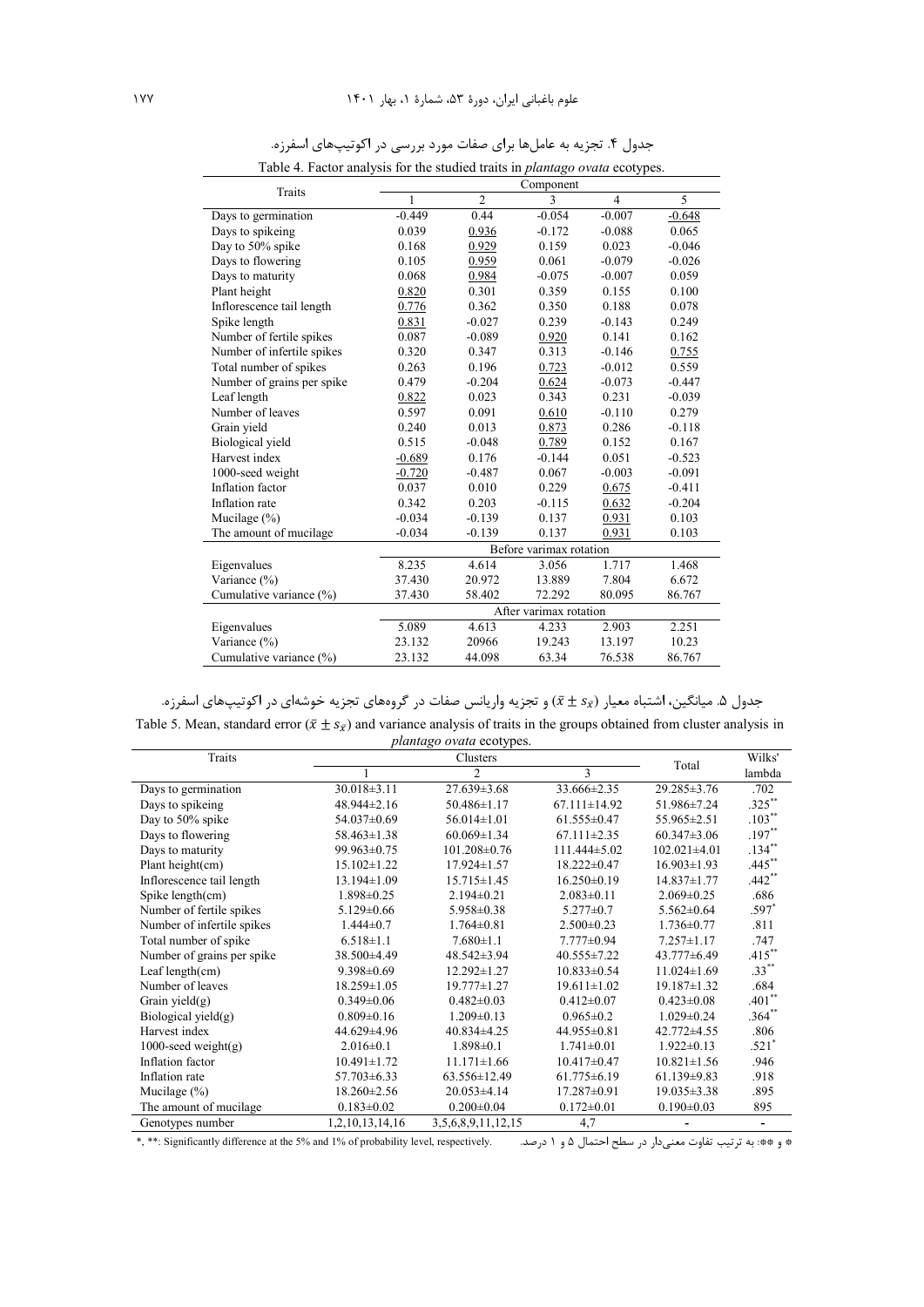| Table 4. Factor analysis for the studied traits in <i>plantago ovata</i> ecotypes. |                         |                |          |                |          |  |  |
|------------------------------------------------------------------------------------|-------------------------|----------------|----------|----------------|----------|--|--|
| <b>Traits</b>                                                                      | Component               |                |          |                |          |  |  |
|                                                                                    | 1                       | $\overline{2}$ | 3        | $\overline{4}$ | 5        |  |  |
| Days to germination                                                                | $-0.449$                | 0.44           | $-0.054$ | $-0.007$       | $-0.648$ |  |  |
| Days to spikeing                                                                   | 0.039                   | 0.936          | $-0.172$ | $-0.088$       | 0.065    |  |  |
| Day to 50% spike                                                                   | 0.168                   | 0.929          | 0.159    | 0.023          | $-0.046$ |  |  |
| Days to flowering                                                                  | 0.105                   | 0.959          | 0.061    | $-0.079$       | $-0.026$ |  |  |
| Days to maturity                                                                   | 0.068                   | 0.984          | $-0.075$ | $-0.007$       | 0.059    |  |  |
| Plant height                                                                       | 0.820                   | 0.301          | 0.359    | 0.155          | 0.100    |  |  |
| Inflorescence tail length                                                          | 0.776                   | 0.362          | 0.350    | 0.188          | 0.078    |  |  |
| Spike length                                                                       | 0.831                   | $-0.027$       | 0.239    | $-0.143$       | 0.249    |  |  |
| Number of fertile spikes                                                           | 0.087                   | $-0.089$       | 0.920    | 0.141          | 0.162    |  |  |
| Number of infertile spikes                                                         | 0.320                   | 0.347          | 0.313    | $-0.146$       | 0.755    |  |  |
| Total number of spikes                                                             | 0.263                   | 0.196          | 0.723    | $-0.012$       | 0.559    |  |  |
| Number of grains per spike                                                         | 0.479                   | $-0.204$       | 0.624    | $-0.073$       | $-0.447$ |  |  |
| Leaf length                                                                        | 0.822                   | 0.023          | 0.343    | 0.231          | $-0.039$ |  |  |
| Number of leaves                                                                   | 0.597                   | 0.091          | 0.610    | $-0.110$       | 0.279    |  |  |
| Grain yield                                                                        | 0.240                   | 0.013          | 0.873    | 0.286          | $-0.118$ |  |  |
| Biological yield                                                                   | 0.515                   | $-0.048$       | 0.789    | 0.152          | 0.167    |  |  |
| Harvest index                                                                      | $-0.689$                | 0.176          | $-0.144$ | 0.051          | $-0.523$ |  |  |
| 1000-seed weight                                                                   | $-0.720$                | $-0.487$       | 0.067    | $-0.003$       | $-0.091$ |  |  |
| Inflation factor                                                                   | 0.037                   | 0.010          | 0.229    | 0.675          | $-0.411$ |  |  |
| Inflation rate                                                                     | 0.342                   | 0.203          | $-0.115$ | 0.632          | $-0.204$ |  |  |
| Mucilage $(\% )$                                                                   | $-0.034$                | $-0.139$       | 0.137    | 0.931          | 0.103    |  |  |
| The amount of mucilage                                                             | $-0.034$                | $-0.139$       | 0.137    | 0.931          | 0.103    |  |  |
|                                                                                    | Before varimax rotation |                |          |                |          |  |  |
| Eigenvalues                                                                        | 8.235                   | 4.614          | 3.056    | 1.717          | 1.468    |  |  |
| Variance (%)                                                                       | 37.430                  | 20.972         | 13.889   | 7.804          | 6.672    |  |  |
| Cumulative variance (%)                                                            | 37.430                  | 58.402         | 72.292   | 80.095         | 86.767   |  |  |
|                                                                                    | After varimax rotation  |                |          |                |          |  |  |
| Eigenvalues                                                                        | 5.089                   | 4.613          | 4.233    | 2.903          | 2.251    |  |  |
| Variance (%)                                                                       | 23.132                  | 20966          | 19.243   | 13.197         | 10.23    |  |  |
| Cumulative variance (%)                                                            | 23.132                  | 44.098         | 63.34    | 76.538         | 86.767   |  |  |

جدول ۴. تجزیه به عاملها برای صفات مورد بررسی در اکوتیپهای اسفرزه.

جدول ۵. میانگین، اشتباه معیار  $(\bar{x} \pm s_{\bar{x}})$  و تجزیه واریانس صفات در گروههای تجزیه خوشهای در اکوتیپهای اسفرزه. Table 5. Mean, standard error ( $\bar{x} \pm s_{\bar{x}}$ ) and variance analysis of traits in the groups obtained from cluster analysis in *plantago ovata* ecotypes.

|                            |                   | <i>planugo ovala</i> ecotypes. |                    |                    |                          |
|----------------------------|-------------------|--------------------------------|--------------------|--------------------|--------------------------|
| Traits                     |                   |                                | Wilks'             |                    |                          |
|                            |                   | $\mathfrak{D}$                 | 3                  | Total              | lambda                   |
| Days to germination        | $30.018 \pm 3.11$ | $27.639 \pm 3.68$              | 33.666±2.35        | 29.285 ± 3.76      | .702                     |
| Days to spikeing           | $48.944 \pm 2.16$ | $50.486 \pm 1.17$              | $67.111 \pm 14.92$ | 51.986±7.24        | $.325***$                |
| Day to 50% spike           | 54.037±0.69       | $56.014 \pm 1.01$              | $61.555 \pm 0.47$  | $55.965 \pm 2.51$  | $.103***$                |
| Days to flowering          | $58.463 \pm 1.38$ | $60.069 \pm 1.34$              | $67.111 \pm 2.35$  | $60.347 \pm 3.06$  | $.197**$                 |
| Days to maturity           | 99.963±0.75       | $101.208 \pm 0.76$             | $111.444\pm 5.02$  | $102.021 \pm 4.01$ | $.134***$                |
| Plant height(cm)           | $15.102 \pm 1.22$ | $17.924 \pm 1.57$              | $18.222 \pm 0.47$  | $16.903 \pm 1.93$  | $.445***$                |
| Inflorescence tail length  | 13.194±1.09       | $15.715 \pm 1.45$              | $16.250\pm0.19$    | 14.837±1.77        | $.442**$                 |
| Spike $length(cm)$         | $1.898 \pm 0.25$  | $2.194 \pm 0.21$               | $2.083 \pm 0.11$   | $2.069 \pm 0.25$   | .686                     |
| Number of fertile spikes   | $5.129 \pm 0.66$  | $5.958 \pm 0.38$               | $5.277 \pm 0.7$    | $5.562 \pm 0.64$   | $.597*$                  |
| Number of infertile spikes | $1.444 \pm 0.7$   | $1.764 \pm 0.81$               | $2.500 \pm 0.23$   | $1.736 \pm 0.77$   | .811                     |
| Total number of spike      | $6.518 \pm 1.1$   | $7.680 \pm 1.1$                | $7.777 \pm 0.94$   | $7.257 \pm 1.17$   | .747                     |
| Number of grains per spike | 38.500±4.49       | 48.542±3.94                    | $40.555 \pm 7.22$  | 43.777±6.49        | $.415***$                |
| Leaf length $(cm)$         | $9.398 \pm 0.69$  | $12.292 \pm 1.27$              | $10.833 \pm 0.54$  | $11.024 \pm 1.69$  | $.33***$                 |
| Number of leaves           | $18.259 \pm 1.05$ | $19.777 \pm 1.27$              | $19.611 \pm 1.02$  | $19.187 \pm 1.32$  | .684                     |
| Grain yield $(g)$          | $0.349 \pm 0.06$  | $0.482\pm0.03$                 | $0.412 \pm 0.07$   | $0.423 \pm 0.08$   | $.401**$                 |
| Biological yield $(g)$     | $0.809 \pm 0.16$  | $1.209 \pm 0.13$               | $0.965 \pm 0.2$    | $1.029 \pm 0.24$   | $.364**$                 |
| Harvest index              | 44.629±4.96       | $40.834\pm4.25$                | 44.955±0.81        | 42.772±4.55        | .806                     |
| $1000$ -seed weight(g)     | $2.016 \pm 0.1$   | $1.898 \pm 0.1$                | $1.741 \pm 0.01$   | $1.922 \pm 0.13$   | $.521*$                  |
| Inflation factor           | $10.491 \pm 1.72$ | $11.171 \pm 1.66$              | $10.417 \pm 0.47$  | $10.821 \pm 1.56$  | .946                     |
| Inflation rate             | $57.703 \pm 6.33$ | $63.556 \pm 12.49$             | $61.775 \pm 6.19$  | $61.139 \pm 9.83$  | .918                     |
| Mucilage $(\%)$            | 18.260±2.56       | $20.053 \pm 4.14$              | $17.287 \pm 0.91$  | $19.035 \pm 3.38$  | .895                     |
| The amount of mucilage     | $0.183 \pm 0.02$  | $0.200 \pm 0.04$               | $0.172 \pm 0.01$   | $0.190 \pm 0.03$   | 895                      |
| Genotypes number           | 1,2,10,13,14,16   | 3,5,6,8,9,11,12,15             | 4,7                |                    | $\overline{\phantom{a}}$ |

\*, \*\*: Significantly difference at the 5% and 1% of probability level, respectively. .Q 5 1 G P vN\* &@9\$ Z0' 4 ','[ :\*\* \*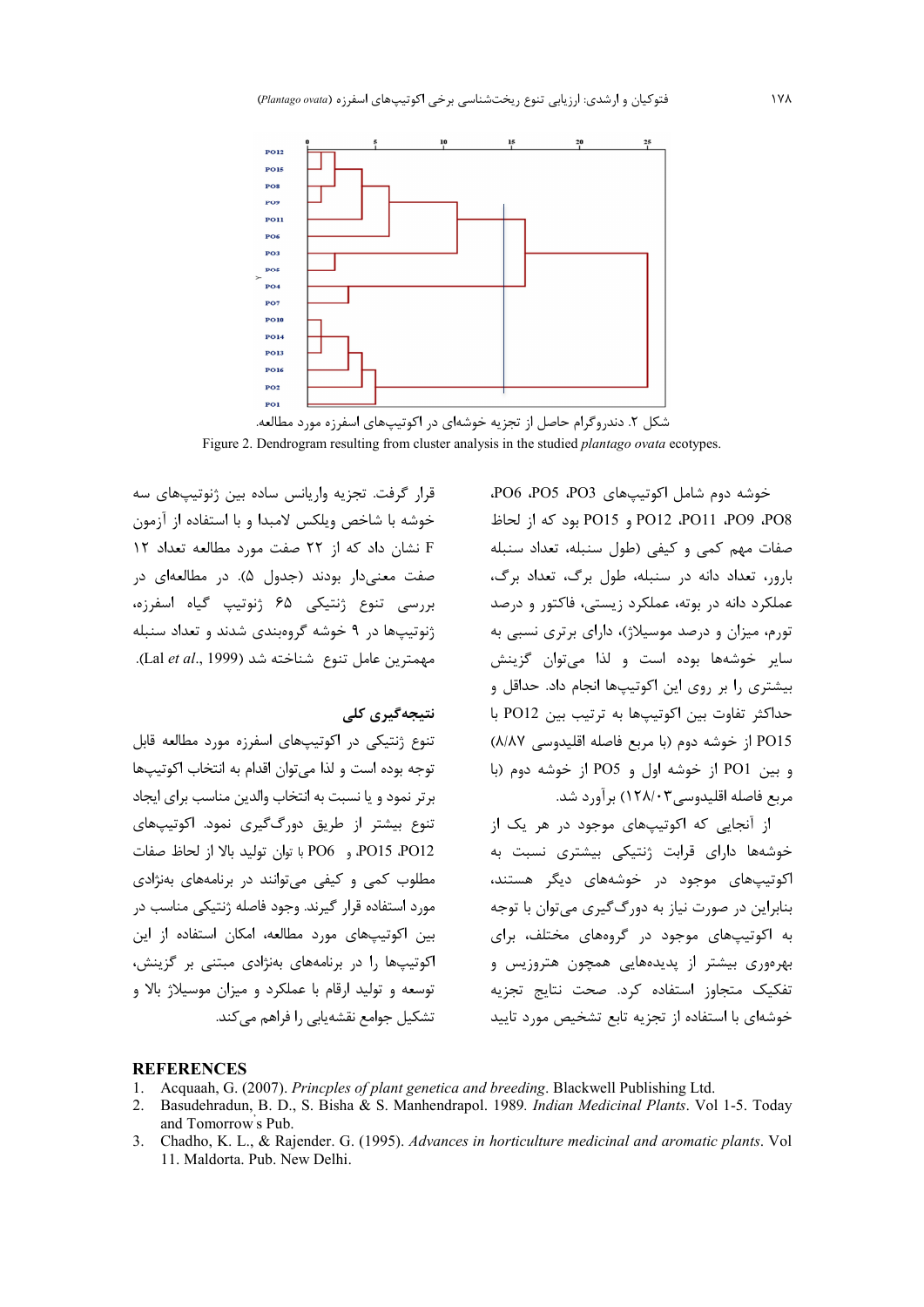

شکل ۲. دندروگرام حاصل از تجزیه خوشهای در اکوتیپهای اسفرزه مورد مطالعه. Figure 2. Dendrogram resulting from cluster analysis in the studied *plantago ovata* ecotypes.

قرار گرفت. تجزیه واریانس ساده بین ژنوتیپهای سه خوشه با شاخص ويلكس لامبدا و با استفاده از آزمون F نشان داد که از ٢٢ صفت مورد مطالعه تعداد ١٢ صفت معنیدار بودند (جدول ۵). در مطالعهای در بررسی تنوع ژنتیکی ۶۵ ژنوتیپ گیاه اسفرزه، ژنوتیپها در ۹ خوشه گروهبندی شدند و تعداد سنبله مهمترين عامل تنوع شناخته شد (Lal et al., 1999).

### نتىجەگىرى كلى

تنوع ژنتیکی در اکوتیپهای اسفرزه مورد مطالعه قابل توجه بوده است و لذا مى توان اقدام به انتخاب اكوتيبها برتر نمود و يا نسبت به انتخاب والدين مناسب براي ايجاد تنوع بیشتر از طریق دورگگیری نمود. اکوتیپهای PO15 PO12 و PO6 با توان توليد بالا از لحاظ صفات مطلوب کمی و کیفی می توانند در برنامههای بهنژادی مورد استفاده قرار گیرند. وجود فاصله ژنتیکی مناسب در بین اکوتیپهای مورد مطالعه، امکان استفاده از این اکوتیپها را در برنامههای بهنژادی مبتنی بر گزینش، توسعه و تولید ارقام با عملکرد و میزان موسیلاژ بالا و تشکیل جوامع نقشه پاہی را فراهم می کند.

خوشه دوم شامل اکوتیپهای PO6 ،PO5 ،PO3، PO12 PO11 aPO9 aPO8 و PO15 بود كه از لحاظ صفات مهم كمى وكيفى (طول سنبله، تعداد سنبله بارور، تعداد دانه در سنبله، طول برگ، تعداد برگ، عملکرد دانه در بوته، عملکرد زیستی، فاکتور و درصد تورم، میزان و درصد موسیلاژ)، دارای برتری نسبی به سایر خوشهها بوده است و لذا می توان گزینش بیشتری را بر روی این اکوتیپها انجام داد. حداقل و حداكثر تفاوت بين اكوتيبها به ترتيب بين PO12 با PO15 از خوشه دوم (با مربع فاصله اقلیدوسی ٨/٨٧) و بين PO1 از خوشه اول و PO5 از خوشه دوم (با مربع فاصله اقليدوسي٣٨/٠٣) برآورد شد.

از آنجایی که اکوتیپهای موجود در هر یک از خوشهها دارای قرابت ژنتیکی بیشتری نسبت به اکوتیپهای موجود در خوشههای دیگر هستند، بنابراین در صورت نیاز به دورگ گیری می توان با توجه به اکوتیپهای موجود در گروههای مختلف، برای بهرهوری بیشتر از پدیدههایی همچون هتروزیس و تفکیک متجاوز استفاده کرد. صحت نتایج تجزیه خوشهای با استفاده از تجزیه تابع تشخیص مورد تایید

#### **REFERENCES**

- Acquaah, G. (2007). Princples of plant genetica and breeding. Blackwell Publishing Ltd.  $1_{\cdot}$
- Basudehradun, B. D., S. Bisha & S. Manhendrapol. 1989. Indian Medicinal Plants. Vol 1-5. Today  $2.$ and Tomorrow's Pub.
- Chadho, K. L., & Rajender. G. (1995). Advances in horticulture medicinal and aromatic plants. Vol 11. Maldorta. Pub. New Delhi.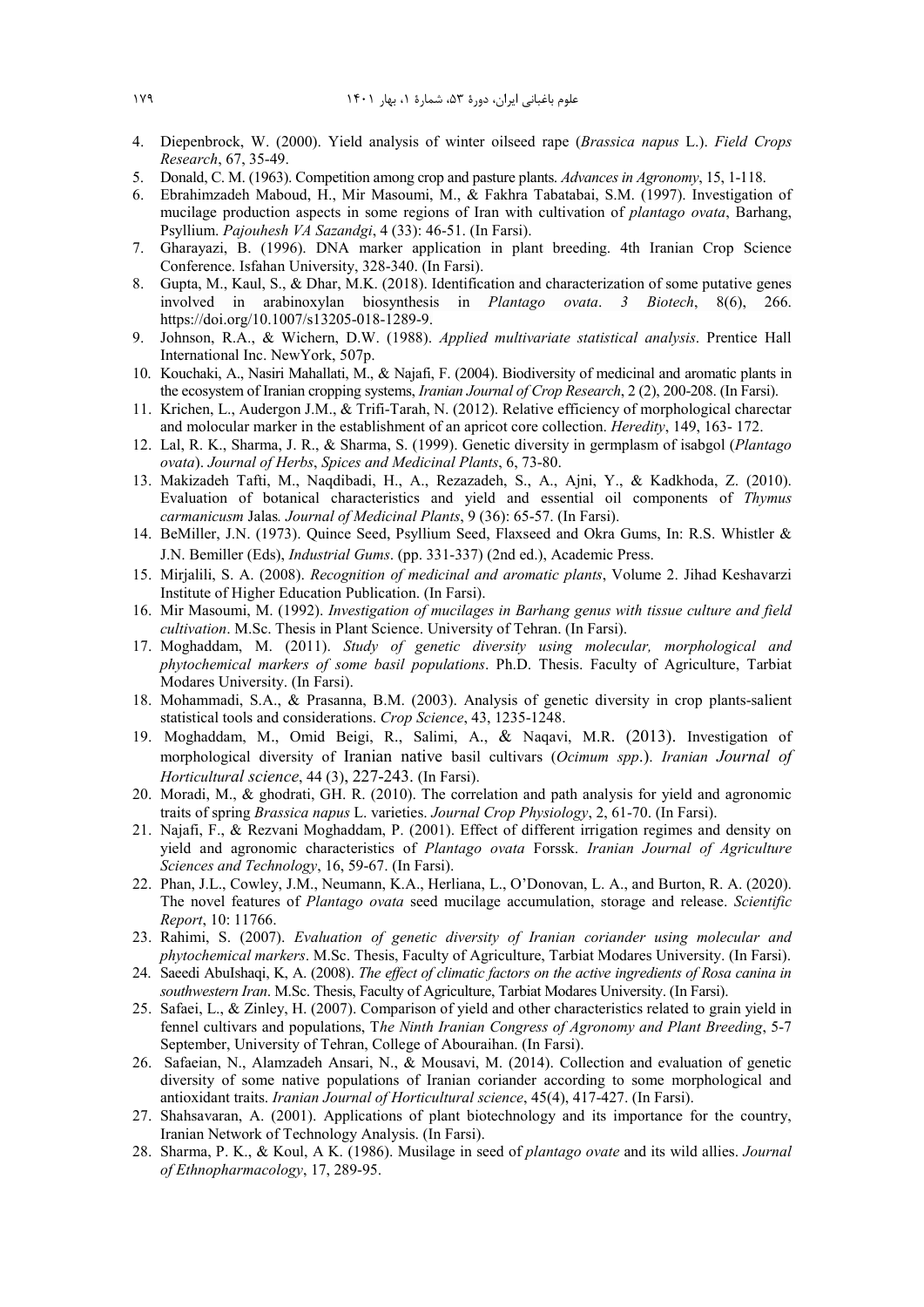- 4. Diepenbrock, W. (2000). Yield analysis of winter oilseed rape (*Brassica napus* L.). *Field Crops Research*, 67, 35-49.
- 5. Donald, C. M. (1963). Competition among crop and pasture plants. *Advances in Agronomy*, 15, 1-118.
- 6. Ebrahimzadeh Maboud, H., Mir Masoumi, M., & Fakhra Tabatabai, S.M. (1997). Investigation of mucilage production aspects in some regions of Iran with cultivation of *plantago ovata*, Barhang, Psyllium. *Pajouhesh VA Sazandgi*, 4 (33): 46-51. (In Farsi).
- 7. Gharayazi, B. (1996). DNA marker application in plant breeding. 4th Iranian Crop Science Conference. Isfahan University, 328-340. (In Farsi).
- 8. Gupta, M., Kaul, S., & Dhar, M.K. (2018). Identification and characterization of some putative genes involved in arabinoxylan biosynthesis in *Plantago ovata*. *3 Biotech*, 8(6), 266. https://doi.org/10.1007/s13205-018-1289-9.
- 9. Johnson, R.A., & Wichern, D.W. (1988). *Applied multivariate statistical analysis*. Prentice Hall International Inc. NewYork, 507p.
- 10. Kouchaki, A., Nasiri Mahallati, M., & Najafi, F. (2004). Biodiversity of medicinal and aromatic plants in the ecosystem of Iranian cropping systems, *Iranian Journal of Crop Research*, 2 (2), 200-208. (In Farsi).
- 11. Krichen, L., Audergon J.M., & Trifi-Tarah, N. (2012). Relative efficiency of morphological charectar and molocular marker in the establishment of an apricot core collection. *Heredity*, 149, 163- 172.
- 12. Lal, R. K., Sharma, J. R., & Sharma, S. (1999). Genetic diversity in germplasm of isabgol (*Plantago ovata*). *Journal of Herbs*, *Spices and Medicinal Plants*, 6, 73-80.
- 13. Makizadeh Tafti, M., Naqdibadi, H., A., Rezazadeh, S., A., Ajni, Y., & Kadkhoda, Z. (2010). Evaluation of botanical characteristics and yield and essential oil components of *Thymus carmanicusm* Jalas*. Journal of Medicinal Plants*, 9 (36): 65-57. (In Farsi).
- 14. BeMiller, J.N. (1973). Quince Seed, Psyllium Seed, Flaxseed and Okra Gums, In: R.S. Whistler & J.N. Bemiller (Eds), *Industrial Gums*. (pp. 331-337) (2nd ed.), Academic Press.
- 15. Mirjalili, S. A. (2008). *Recognition of medicinal and aromatic plants*, Volume 2. Jihad Keshavarzi Institute of Higher Education Publication. (In Farsi).
- 16. Mir Masoumi, M. (1992). *Investigation of mucilages in Barhang genus with tissue culture and field cultivation*. M.Sc. Thesis in Plant Science. University of Tehran. (In Farsi).
- 17. Moghaddam, M. (2011). *Study of genetic diversity using molecular, morphological and phytochemical markers of some basil populations*. Ph.D. Thesis. Faculty of Agriculture, Tarbiat Modares University. (In Farsi).
- 18. Mohammadi, S.A., & Prasanna, B.M. (2003). Analysis of genetic diversity in crop plants-salient statistical tools and considerations. *Crop Science*, 43, 1235-1248.
- 19. Moghaddam, M., Omid Beigi, R., Salimi, A., & Naqavi, M.R. (2013). Investigation of morphological diversity of Iranian native basil cultivars (*Ocimum spp*.). *Iranian Journal of Horticultural science*, 44 (3), 227-243. (In Farsi).
- 20. Moradi, M., & ghodrati, GH. R. (2010). The correlation and path analysis for yield and agronomic traits of spring *Brassica napus* L. varieties. *Journal Crop Physiology*, 2, 61-70. (In Farsi).
- 21. Najafi, F., & Rezvani Moghaddam, P. (2001). Effect of different irrigation regimes and density on yield and agronomic characteristics of *Plantago ovata* Forssk. *Iranian Journal of Agriculture Sciences and Technology*, 16, 59-67. (In Farsi).
- 22. Phan, J.L., Cowley, J.M., Neumann, K.A., Herliana, L., O'Donovan, L. A., and Burton, R. A. (2020). The novel features of *Plantago ovata* seed mucilage accumulation, storage and release. *Scientific Report*, 10: 11766.
- 23. Rahimi, S. (2007). *Evaluation of genetic diversity of Iranian coriander using molecular and phytochemical markers*. M.Sc. Thesis, Faculty of Agriculture, Tarbiat Modares University. (In Farsi).
- 24. Saeedi AbuIshaqi, K, A. (2008). *The effect of climatic factors on the active ingredients of Rosa canina in southwestern Iran*. M.Sc. Thesis, Faculty of Agriculture, Tarbiat Modares University. (In Farsi).
- 25. Safaei, L., & Zinley, H. (2007). Comparison of yield and other characteristics related to grain yield in fennel cultivars and populations, T*he Ninth Iranian Congress of Agronomy and Plant Breeding*, 5-7 September, University of Tehran, College of Abouraihan. (In Farsi).
- 26. Safaeian, N., Alamzadeh Ansari, N., & Mousavi, M. (2014). Collection and evaluation of genetic diversity of some native populations of Iranian coriander according to some morphological and antioxidant traits. *Iranian Journal of Horticultural science*, 45(4), 417-427. (In Farsi).
- 27. Shahsavaran, A. (2001). Applications of plant biotechnology and its importance for the country, Iranian Network of Technology Analysis. (In Farsi).
- 28. Sharma, P. K., & Koul, A K. (1986). Musilage in seed of *plantago ovate* and its wild allies. *Journal of Ethnopharmacology*, 17, 289-95.